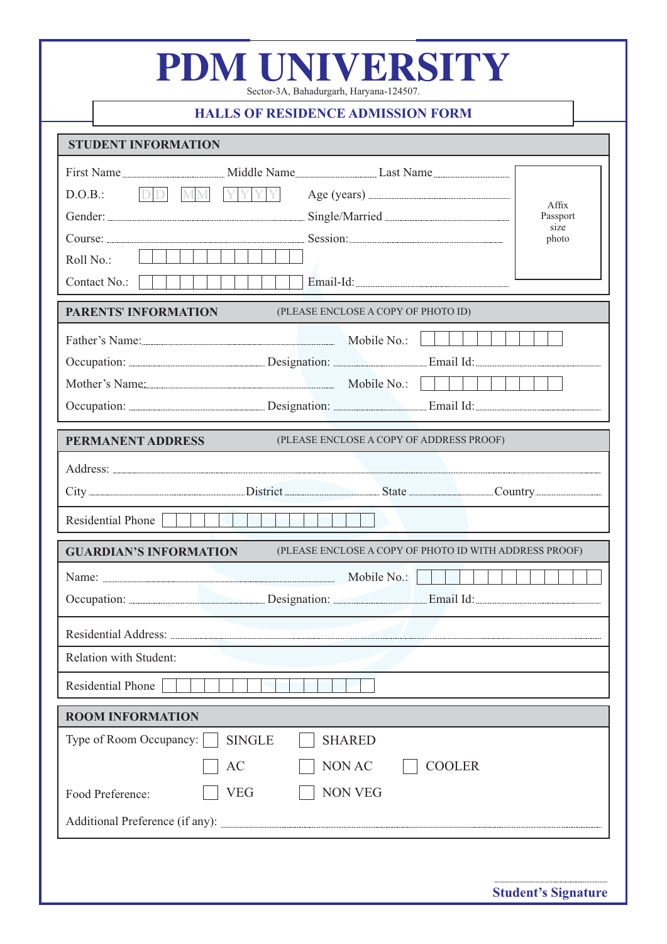|                                                                                         | <b>HALLS OF RESIDENCE ADMISSION FORM</b>                                                        |  |  |  |
|-----------------------------------------------------------------------------------------|-------------------------------------------------------------------------------------------------|--|--|--|
| <b>STUDENT INFORMATION</b>                                                              |                                                                                                 |  |  |  |
| DD MM YYYY<br>D.O.B.:<br>Roll No.:<br>Contact No.:                                      | Affix<br>Passport<br>size<br>photo                                                              |  |  |  |
| <b>PARENTS' INFORMATION</b>                                                             | (PLEASE ENCLOSE A COPY OF PHOTO ID)                                                             |  |  |  |
|                                                                                         | Father's Name: Mobile No.:<br>Mother's Name: Mobile No.: Mobile No.:                            |  |  |  |
| <b>PERMANENT ADDRESS</b><br>(PLEASE ENCLOSE A COPY OF ADDRESS PROOF)                    |                                                                                                 |  |  |  |
| Residential Phone                                                                       |                                                                                                 |  |  |  |
| <b>GUARDIAN'S INFORMATION</b><br>(PLEASE ENCLOSE A COPY OF PHOTO ID WITH ADDRESS PROOF) |                                                                                                 |  |  |  |
|                                                                                         |                                                                                                 |  |  |  |
|                                                                                         |                                                                                                 |  |  |  |
| <b>Relation with Student:</b>                                                           |                                                                                                 |  |  |  |
| Residential Phone                                                                       |                                                                                                 |  |  |  |
| <b>ROOM INFORMATION</b>                                                                 |                                                                                                 |  |  |  |
| Type of Room Occupancy:<br>Food Preference:                                             | <b>SINGLE</b><br><b>SHARED</b><br>NON AC<br>AC<br><b>COOLER</b><br><b>NON VEG</b><br><b>VEG</b> |  |  |  |

**Student's Signature**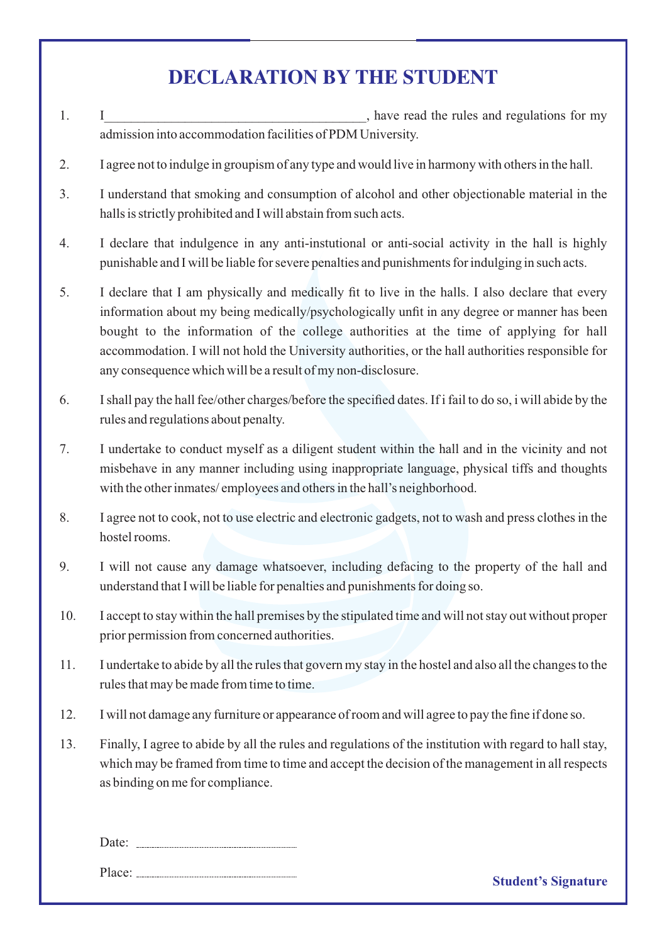## **DECLARATION BY THE STUDENT**

- 1. I was not interested the rules and regulations for my set of  $\overline{a}$ admission into accommodation facilities of PDM University.
- 2. I agree not to indulge in groupism of any type and would live in harmony with others in the hall.
- 3. I understand that smoking and consumption of alcohol and other objectionable material in the halls is strictly prohibited and I will abstain from such acts.
- 4. I declare that indulgence in any anti-instutional or anti-social activity in the hall is highly punishable and I will be liable for severe penalties and punishments for indulging in such acts.
- 5. I declare that I am physically and medically fit to live in the halls. I also declare that every information about my being medically/psychologically unfit in any degree or manner has been bought to the information of the college authorities at the time of applying for hall accommodation. I will not hold the University authorities, or the hall authorities responsible for any consequence which will be a result of my non-disclosure.
- 6. I shall pay the hall fee/other charges/before the specified dates. If i fail to do so, i will abide by the rules and regulations about penalty.
- 7. I undertake to conduct myself as a diligent student within the hall and in the vicinity and not misbehave in any manner including using inappropriate language, physical tiffs and thoughts with the other inmates/ employees and others in the hall's neighborhood.
- 8. I agree not to cook, not to use electric and electronic gadgets, not to wash and press clothes in the hostel rooms.
- 9. I will not cause any damage whatsoever, including defacing to the property of the hall and understand that I will be liable for penalties and punishments for doing so.
- 10. I accept to stay within the hall premises by the stipulated time and will not stay out without proper prior permission from concerned authorities.
- 11. I undertake to abide by all the rules that govern my stay in the hostel and also all the changes to the rules that may be made from time to time.
- 12. I will not damage any furniture or appearance of room and will agree to pay the fine if done so.
- 13. Finally, I agree to abide by all the rules and regulations of the institution with regard to hall stay, which may be framed from time to time and accept the decision of the management in all respects as binding on me for compliance.

| Date: |  |
|-------|--|
|       |  |

Place: <u><u>Student's Signature</u><br>
Student's Signature</u>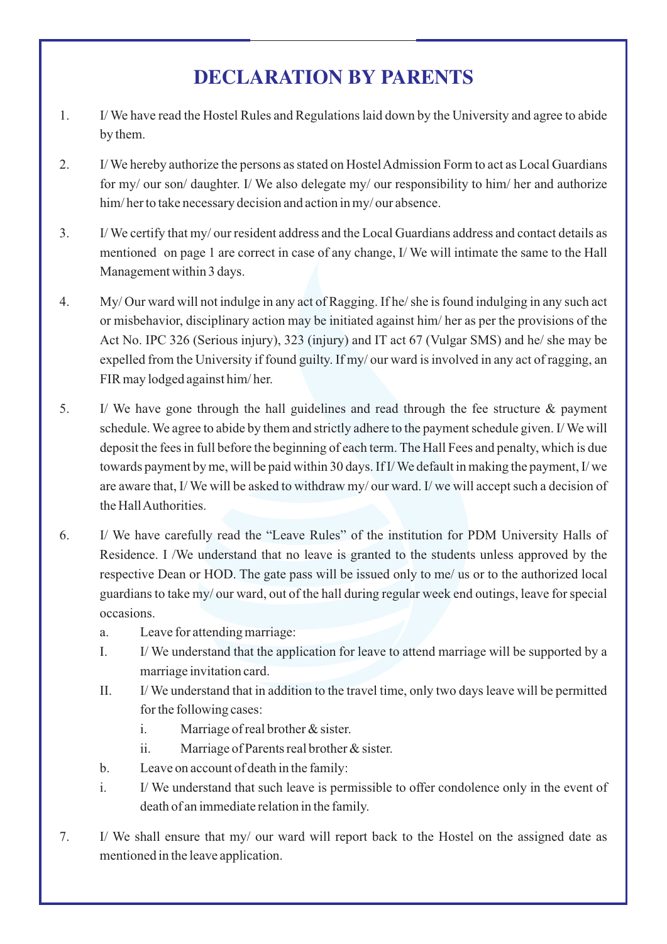## **DECLARATION BY PARENTS**

- 1. I/ We have read the Hostel Rules and Regulations laid down by the University and agree to abide by them.
- 2. I/ We hereby authorize the persons as stated on Hostel Admission Form to act as Local Guardians for my/ our son/ daughter. I/ We also delegate my/ our responsibility to him/ her and authorize him/her to take necessary decision and action in my/our absence.
- 3. I/ We certify that my/ our resident address and the Local Guardians address and contact details as mentioned on page 1 are correct in case of any change, I/ We will intimate the same to the Hall Management within 3 days.
- 4. My/ Our ward will not indulge in any act of Ragging. If he/ she is found indulging in any such act or misbehavior, disciplinary action may be initiated against him/ her as per the provisions of the Act No. IPC 326 (Serious injury), 323 (injury) and IT act 67 (Vulgar SMS) and he/ she may be expelled from the University if found guilty. If my/ our ward is involved in any act of ragging, an FIR may lodged against him/ her.
- 5. I/ We have gone through the hall guidelines and read through the fee structure & payment schedule. We agree to abide by them and strictly adhere to the payment schedule given. I/ We will deposit the fees in full before the beginning of each term. The Hall Fees and penalty, which is due towards payment by me, will be paid within 30 days. If I/ We default in making the payment, I/ we are aware that, I/ We will be asked to withdraw my/ our ward. I/ we will accept such a decision of the Hall Authorities.
- 6. I/ We have carefully read the "Leave Rules" of the institution for PDM University Halls of Residence. I /We understand that no leave is granted to the students unless approved by the respective Dean or HOD. The gate pass will be issued only to me/ us or to the authorized local guardians to take my/ our ward, out of the hall during regular week end outings, leave for special occasions.
	- a. Leave for attending marriage:
	- I. I/ We understand that the application for leave to attend marriage will be supported by a marriage invitation card.
	- II. I/ We understand that in addition to the travel time, only two days leave will be permitted for the following cases:
		- i. Marriage of real brother & sister.
		- ii. Marriage of Parents real brother & sister.
	- b. Leave on account of death in the family:
	- i. I/ We understand that such leave is permissible to offer condolence only in the event of death of an immediate relation in the family.
- 7. I/ We shall ensure that my/ our ward will report back to the Hostel on the assigned date as mentioned in the leave application.